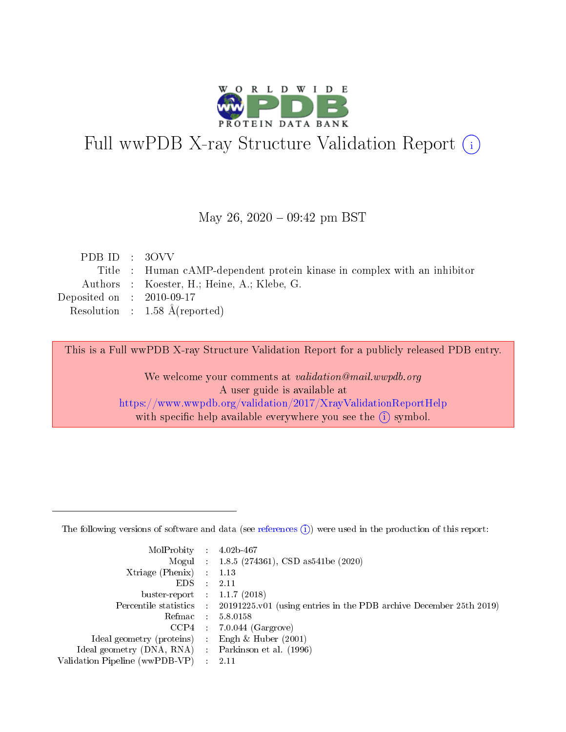

# Full wwPDB X-ray Structure Validation Report (i)

#### May 26,  $2020 - 09:42$  pm BST

| PDBID : 30VV                                                             |
|--------------------------------------------------------------------------|
| Title : Human cAMP-dependent protein kinase in complex with an inhibitor |
| Authors : Koester, H.; Heine, A.; Klebe, G.                              |
| Deposited on : $2010-09-17$                                              |
| Resolution : $1.58 \text{ Å}$ (reported)                                 |
|                                                                          |

This is a Full wwPDB X-ray Structure Validation Report for a publicly released PDB entry.

We welcome your comments at validation@mail.wwpdb.org A user guide is available at <https://www.wwpdb.org/validation/2017/XrayValidationReportHelp> with specific help available everywhere you see the  $(i)$  symbol.

The following versions of software and data (see [references](https://www.wwpdb.org/validation/2017/XrayValidationReportHelp#references)  $(1)$ ) were used in the production of this report:

| MolProbity :                   |               | $4.02b - 467$                                                               |
|--------------------------------|---------------|-----------------------------------------------------------------------------|
|                                |               | Mogul : $1.8.5$ (274361), CSD as 541be (2020)                               |
| $X$ triage (Phenix) :          |               | 1.13                                                                        |
| EDS.                           |               | 2.11                                                                        |
| buster-report : $1.1.7$ (2018) |               |                                                                             |
| Percentile statistics :        |               | $20191225 \text{v}01$ (using entries in the PDB archive December 25th 2019) |
| Refmac :                       |               | 5.8.0158                                                                    |
| $CCP4$ :                       |               | $7.0.044$ (Gargrove)                                                        |
| Ideal geometry (proteins) :    |               | Engh $\&$ Huber (2001)                                                      |
| Ideal geometry (DNA, RNA) :    |               | Parkinson et al. (1996)                                                     |
| Validation Pipeline (wwPDB-VP) | $\mathcal{L}$ | 2.11                                                                        |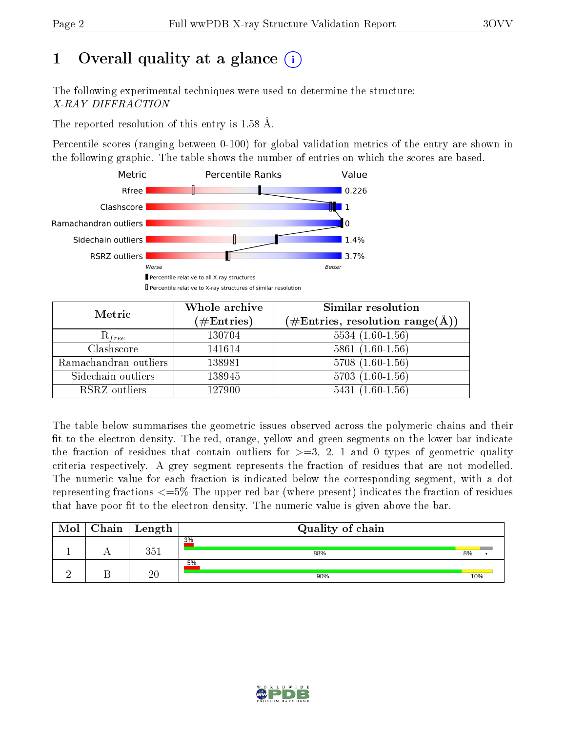# 1 [O](https://www.wwpdb.org/validation/2017/XrayValidationReportHelp#overall_quality)verall quality at a glance  $(i)$

The following experimental techniques were used to determine the structure: X-RAY DIFFRACTION

The reported resolution of this entry is 1.58 Å.

Percentile scores (ranging between 0-100) for global validation metrics of the entry are shown in the following graphic. The table shows the number of entries on which the scores are based.



| Metric                | Whole archive<br>$(\#\mathrm{Entries})$ | Similar resolution<br>$(\#\text{Entries},\,\text{resolution}\,\,\text{range}(\textup{\AA}))$ |
|-----------------------|-----------------------------------------|----------------------------------------------------------------------------------------------|
| $R_{free}$            | 130704                                  | $5534(1.60-1.56)$                                                                            |
| Clashscore            | 141614                                  | $5861(1.60-1.56)$                                                                            |
| Ramachandran outliers | 138981                                  | $5708(1.60-1.56)$                                                                            |
| Sidechain outliers    | 138945                                  | $5703(1.60-1.56)$                                                                            |
| RSRZ outliers         | 127900                                  | $5431(1.60-1.56)$                                                                            |

The table below summarises the geometric issues observed across the polymeric chains and their fit to the electron density. The red, orange, yellow and green segments on the lower bar indicate the fraction of residues that contain outliers for  $>=3, 2, 1$  and 0 types of geometric quality criteria respectively. A grey segment represents the fraction of residues that are not modelled. The numeric value for each fraction is indicated below the corresponding segment, with a dot representing fractions  $\epsilon=5\%$  The upper red bar (where present) indicates the fraction of residues that have poor fit to the electron density. The numeric value is given above the bar.

| Mol | Chain <sup>1</sup> | Length | Quality of chain |     |
|-----|--------------------|--------|------------------|-----|
|     |                    | 9⊾ี    | 3%<br>88%        | 8%  |
|     |                    | 20     | 5%<br>90%        | 10% |

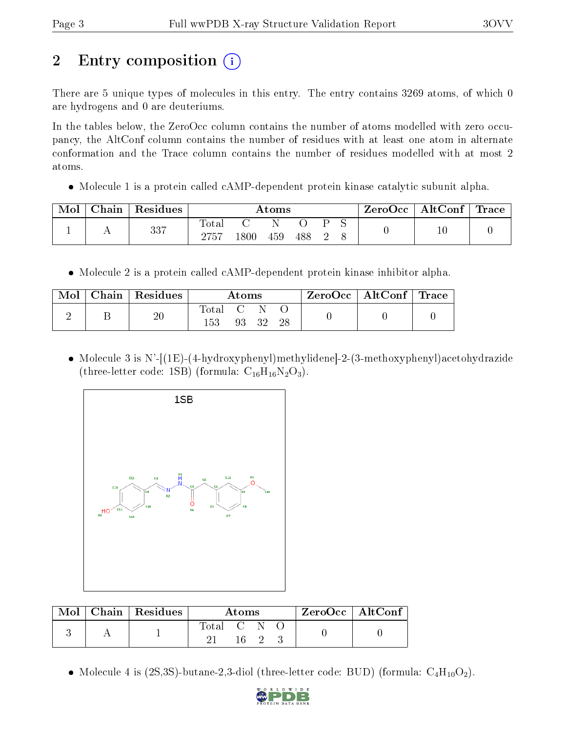# 2 Entry composition  $\left( \cdot \right)$

There are 5 unique types of molecules in this entry. The entry contains 3269 atoms, of which 0 are hydrogens and 0 are deuteriums.

In the tables below, the ZeroOcc column contains the number of atoms modelled with zero occupancy, the AltConf column contains the number of residues with at least one atom in alternate conformation and the Trace column contains the number of residues modelled with at most 2 atoms.

• Molecule 1 is a protein called cAMP-dependent protein kinase catalytic subunit alpha.

| Mol | Chain   Residues | Atoms         |      |     |     | $\text{ZeroOcc}$   AltConf   Trace |  |  |  |
|-----|------------------|---------------|------|-----|-----|------------------------------------|--|--|--|
|     | 337              | Total<br>2757 | 1800 | 459 | 488 |                                    |  |  |  |

• Molecule 2 is a protein called cAMP-dependent protein kinase inhibitor alpha.

| Mol | Chain   Residues | Atoms            |  |          | $\text{ZeroOcc}$   AltConf   Trace |  |
|-----|------------------|------------------|--|----------|------------------------------------|--|
|     |                  | Total C N<br>153 |  | 93 32 28 |                                    |  |

 Molecule 3 is N'-[(1E)-(4-hydroxyphenyl)methylidene]-2-(3-methoxyphenyl)acetohydrazide (three-letter code: 1SB) (formula:  $C_{16}H_{16}N_2O_3$ ).



| Mol | $\mid$ Chain $\mid$ Residues $\mid$ |           | Atoms |  | $ZeroOcc \   \ AltConf$ |  |
|-----|-------------------------------------|-----------|-------|--|-------------------------|--|
|     |                                     | Total C N | 16.   |  |                         |  |
|     |                                     |           |       |  |                         |  |

• Molecule 4 is (2S,3S)-butane-2,3-diol (three-letter code: BUD) (formula:  $C_4H_{10}O_2$ ).

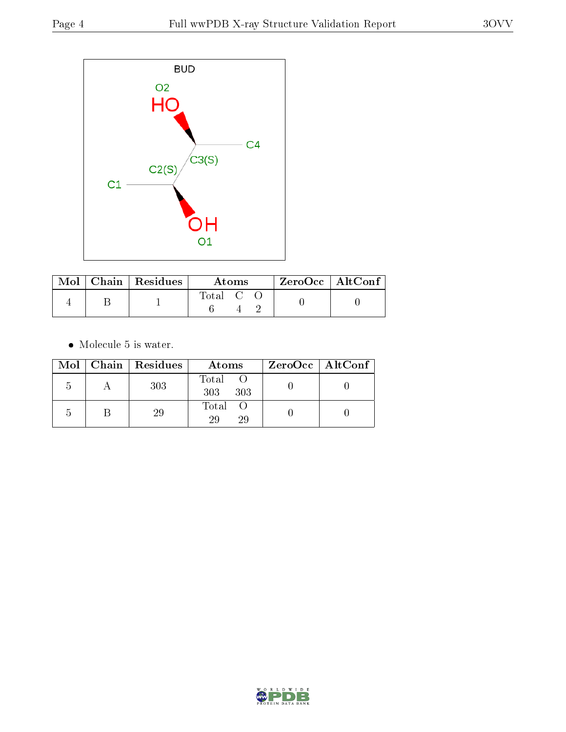

|  | $\blacksquare$ Mol $\vert$ Chain $\vert$ Residues | <b>Atoms</b> |  |  | ZeroOcc   AltConf |  |
|--|---------------------------------------------------|--------------|--|--|-------------------|--|
|  |                                                   | Total C C    |  |  |                   |  |

• Molecule 5 is water.

|  | Mol   Chain   Residues | Atoms               | $ZeroOcc \   \ AltConf \  $ |
|--|------------------------|---------------------|-----------------------------|
|  | 303                    | Total<br>303<br>303 |                             |
|  | 29                     | Total<br>29<br>29   |                             |

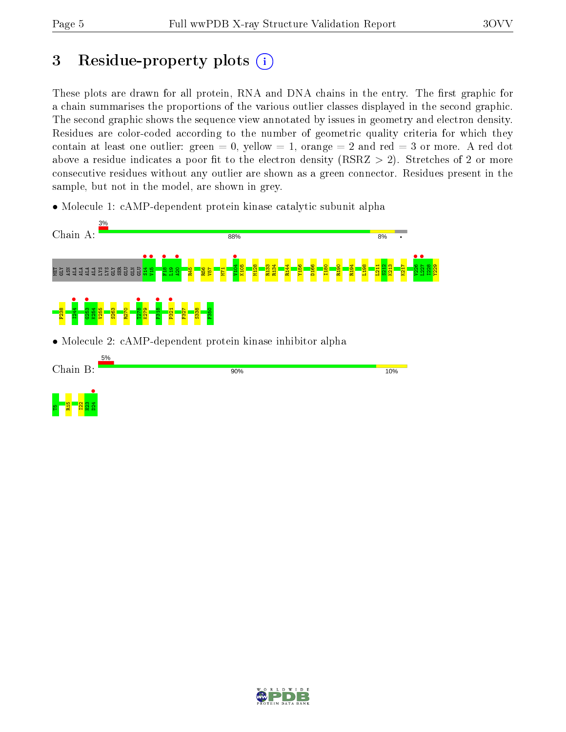## 3 Residue-property plots  $(i)$

These plots are drawn for all protein, RNA and DNA chains in the entry. The first graphic for a chain summarises the proportions of the various outlier classes displayed in the second graphic. The second graphic shows the sequence view annotated by issues in geometry and electron density. Residues are color-coded according to the number of geometric quality criteria for which they contain at least one outlier: green  $= 0$ , yellow  $= 1$ , orange  $= 2$  and red  $= 3$  or more. A red dot above a residue indicates a poor fit to the electron density (RSRZ  $> 2$ ). Stretches of 2 or more consecutive residues without any outlier are shown as a green connector. Residues present in the sample, but not in the model, are shown in grey.

• Molecule 1: cAMP-dependent protein kinase catalytic subunit alpha





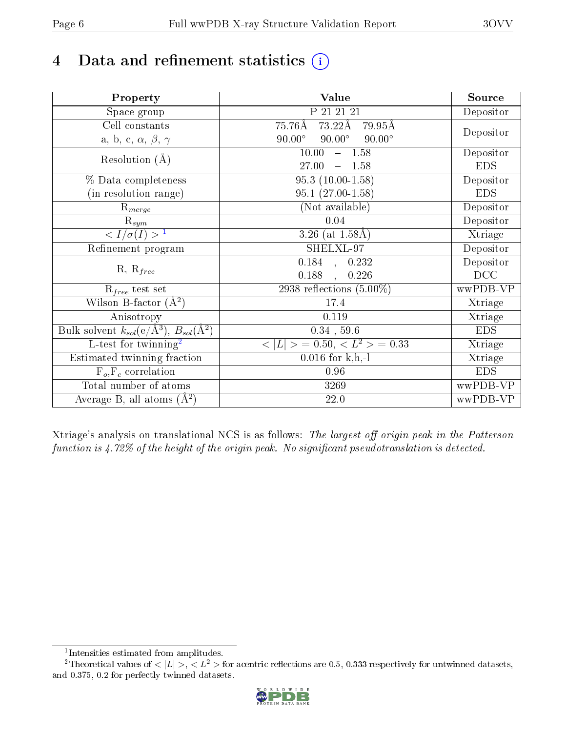# 4 Data and refinement statistics  $(i)$

| Property                                                             | Value                                            | Source     |
|----------------------------------------------------------------------|--------------------------------------------------|------------|
| Space group                                                          | P 21 21 21                                       | Depositor  |
| Cell constants                                                       | 73.22Å<br>75.76Å<br>79.95Å                       |            |
| a, b, c, $\alpha$ , $\beta$ , $\gamma$                               | $90.00^\circ$<br>$90.00^\circ$<br>$90.00^\circ$  | Depositor  |
| Resolution $(A)$                                                     | 10.00<br>$-1.58$                                 | Depositor  |
|                                                                      | 27.00<br>$-1.58$                                 | <b>EDS</b> |
| % Data completeness                                                  | $95.3(10.00-1.58)$                               | Depositor  |
| (in resolution range)                                                | $95.1(27.00-1.58)$                               | <b>EDS</b> |
| $R_{merge}$                                                          | (Not available)                                  | Depositor  |
| $\mathrm{R}_{sym}$                                                   | 0.04                                             | Depositor  |
| $\sqrt{I/\sigma}(I) > 1$                                             | 3.26 (at $1.58\text{\AA}$ )                      | Xtriage    |
| Refinement program                                                   | SHELXL-97                                        | Depositor  |
|                                                                      | $\overline{0.184}$ ,<br>0.232                    | Depositor  |
| $R, R_{free}$                                                        | 0.188<br>0.226                                   | DCC        |
| $R_{free}$ test set                                                  | 2938 reflections $(5.00\%)$                      | wwPDB-VP   |
| Wilson B-factor $(A^2)$                                              | 17.4                                             | Xtriage    |
| Anisotropy                                                           | 0.119                                            | Xtriage    |
| Bulk solvent $k_{sol}(e/\mathring{A}^3)$ , $B_{sol}(\mathring{A}^2)$ | $0.34$ , 59.6                                    | <b>EDS</b> |
| L-test for twinning <sup>2</sup>                                     | $\vert > \; = 0.50, \, < L^2 > \; = 0.33$<br>< L | Xtriage    |
| Estimated twinning fraction                                          | $\overline{0.016}$ for k,h,-l                    | Xtriage    |
| $F_o, F_c$ correlation                                               | 0.96                                             | <b>EDS</b> |
| Total number of atoms                                                | 3269                                             | wwPDB-VP   |
| Average B, all atoms $(A^2)$                                         | $22.0\,$                                         | wwPDB-VP   |

Xtriage's analysis on translational NCS is as follows: The largest off-origin peak in the Patterson function is  $4.72\%$  of the height of the origin peak. No significant pseudotranslation is detected.

<sup>&</sup>lt;sup>2</sup>Theoretical values of  $\langle |L| \rangle$ ,  $\langle L^2 \rangle$  for acentric reflections are 0.5, 0.333 respectively for untwinned datasets, and 0.375, 0.2 for perfectly twinned datasets.



<span id="page-5-1"></span><span id="page-5-0"></span><sup>1</sup> Intensities estimated from amplitudes.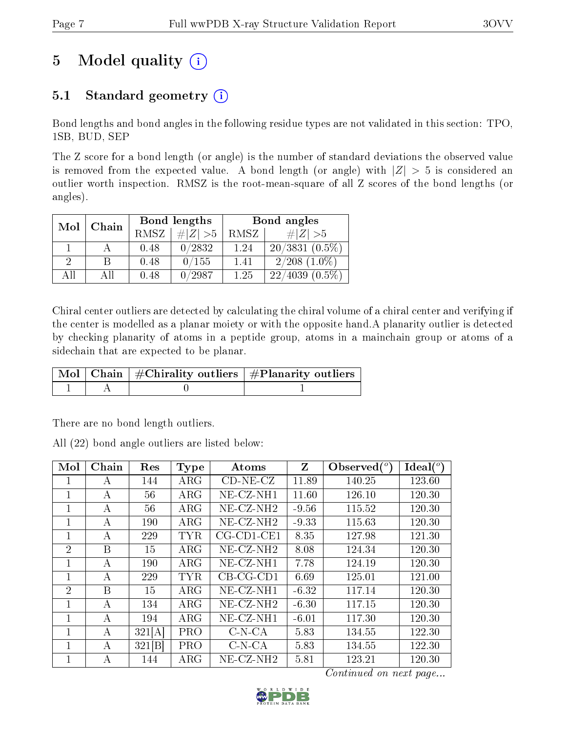## 5 Model quality  $(i)$

### 5.1 Standard geometry  $(i)$

Bond lengths and bond angles in the following residue types are not validated in this section: TPO, 1SB, BUD, SEP

The Z score for a bond length (or angle) is the number of standard deviations the observed value is removed from the expected value. A bond length (or angle) with  $|Z| > 5$  is considered an outlier worth inspection. RMSZ is the root-mean-square of all Z scores of the bond lengths (or angles).

| Mol | Chain |      | Bond lengths | Bond angles |                      |  |
|-----|-------|------|--------------|-------------|----------------------|--|
|     |       | RMSZ | # $ Z >5$    | RMSZ        | # $ Z  > 5$          |  |
|     |       | 0.48 | 0/2832       | 1.24        | $20/3831(0.5\%)$     |  |
| 2   | В     | 0.48 | 0/155        | 1.41        | $2/208$ $(1.0\%)$    |  |
| AH  | ΑH    | 0.48 | 0/2987       | 1.25        | $(4039(0.5\%)$<br>22 |  |

Chiral center outliers are detected by calculating the chiral volume of a chiral center and verifying if the center is modelled as a planar moiety or with the opposite hand.A planarity outlier is detected by checking planarity of atoms in a peptide group, atoms in a mainchain group or atoms of a sidechain that are expected to be planar.

|  | $\mid$ Mol $\mid$ Chain $\mid$ #Chirality outliers $\mid$ #Planarity outliers $\mid$ |
|--|--------------------------------------------------------------------------------------|
|  |                                                                                      |

There are no bond length outliers.

All (22) bond angle outliers are listed below:

| Mol            | ${\rm Chain}$  | Res    | <b>Type</b> | Atoms                    | Z       | Observed $(°)$ | Ideal(°) |
|----------------|----------------|--------|-------------|--------------------------|---------|----------------|----------|
| 1              | A              | 144    | $\rm{ARG}$  | $CD-NE- CZ$              | 11.89   | 140.25         | 123.60   |
| 1              | А              | 56     | $\rm{ARG}$  | $NE- CZ-NH1$             | 11.60   | 126.10         | 120.30   |
| 1              | А              | 56     | $\rm{ARG}$  | $NE$ -CZ-NH <sub>2</sub> | $-9.56$ | 115.52         | 120.30   |
| 1              | А              | 190    | $\rm{ARG}$  | $NE$ -CZ-NH <sub>2</sub> | $-9.33$ | 115.63         | 120.30   |
| 1              | А              | 229    | TYR         | $CG$ - $CD1$ - $CE1$     | 8.35    | 127.98         | 121.30   |
| $\overline{2}$ | B              | 15     | $\rm{ARG}$  | $NE$ -CZ-NH <sub>2</sub> | 8.08    | 124.34         | 120.30   |
| 1              | $\overline{A}$ | 190    | $\rm{ARG}$  | $NE- CZ-NH1$             | 7.78    | 124.19         | 120.30   |
| 1              | A              | 229    | <b>TYR</b>  | $CB-CG-CD1$              | 6.69    | 125.01         | 121.00   |
| $\overline{2}$ | B              | 15     | $\rm{ARG}$  | NE-CZ-NH1                | $-6.32$ | 117.14         | 120.30   |
| 1              | A              | 134    | $\rm{ARG}$  | $NE- CZ-NH2$             | $-6.30$ | 117.15         | 120.30   |
| 1              | $\overline{A}$ | 194    | $\rm{ARG}$  | $NE-CZ-NH1$              | $-6.01$ | 117.30         | 120.30   |
| 1              | A              | 321[A] | <b>PRO</b>  | $C-N-CA$                 | 5.83    | 134.55         | 122.30   |
| 1              | А              | 321[B] | <b>PRO</b>  | $C-N-CA$                 | 5.83    | 134.55         | 122.30   |
| 1              | A              | 144    | $\rm{ARG}$  | $NE- CZ-NH2$             | 5.81    | 123.21         | 120.30   |

Continued on next page...

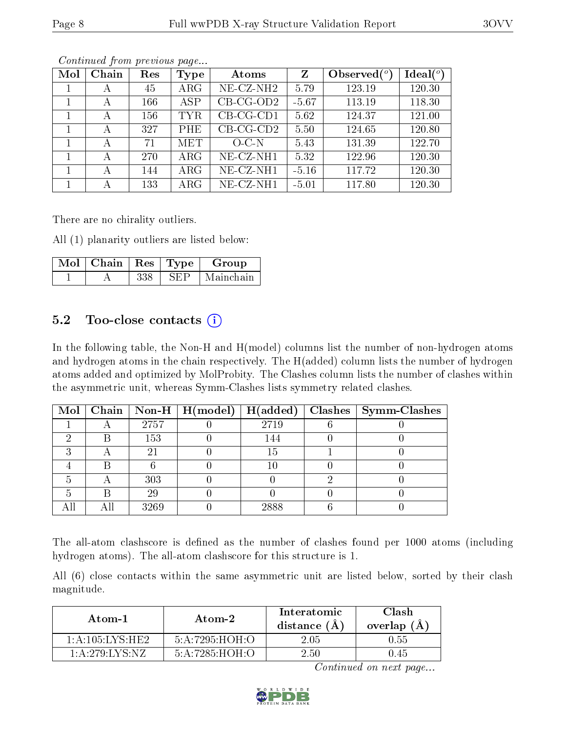| Mol | Chain | Res | Type       | Atoms                 | Z       | Observed $\binom{o}{c}$ | $\text{Ideal}({}^o)$ |
|-----|-------|-----|------------|-----------------------|---------|-------------------------|----------------------|
|     | А     | 45  | $\rm{ARG}$ | NE-CZ-NH <sub>2</sub> | 5.79    | 123.19                  | 120.30               |
|     | А     | 166 | <b>ASP</b> | $CB-CG-OD2$           | $-5.67$ | 113.19                  | 118.30               |
|     | А     | 156 | <b>TYR</b> | $CB-CG-CD1$           | 5.62    | 124.37                  | 121.00               |
|     | А     | 327 | PHE        | $CB-CG-CD2$           | 5.50    | 124.65                  | 120.80               |
|     | А     | 71  | <b>MET</b> | $O-C-N$               | 5.43    | 131.39                  | 122.70               |
|     | А     | 270 | $\rm{ARG}$ | NE-CZ-NH1             | 5.32    | 122.96                  | 120.30               |
|     | А     | 144 | $\rm{ARG}$ | NE-CZ-NH1             | $-5.16$ | 117.72                  | 120.30               |
|     |       | 133 | $\rm{ARG}$ | NE-CZ-NH1             | $-5.01$ | 117.80                  | 120.30               |

Continued from previous page...

There are no chirality outliers.

All (1) planarity outliers are listed below:

| Mol | Chain | $\operatorname{Res}$ | $\top$ Type $\top$ | Group     |
|-----|-------|----------------------|--------------------|-----------|
|     |       | 338                  |                    | Mainchain |

#### $5.2$  Too-close contacts  $(i)$

In the following table, the Non-H and H(model) columns list the number of non-hydrogen atoms and hydrogen atoms in the chain respectively. The H(added) column lists the number of hydrogen atoms added and optimized by MolProbity. The Clashes column lists the number of clashes within the asymmetric unit, whereas Symm-Clashes lists symmetry related clashes.

|  |      | Mol   Chain   Non-H   H(model) | H(added) | $Clashes$   Symm-Clashes |
|--|------|--------------------------------|----------|--------------------------|
|  | 2757 |                                | 2719     |                          |
|  | 153  |                                | 144      |                          |
|  |      |                                | 15       |                          |
|  |      |                                | 10       |                          |
|  | 303  |                                |          |                          |
|  | 29   |                                |          |                          |
|  | 3269 |                                | 2888     |                          |

The all-atom clashscore is defined as the number of clashes found per 1000 atoms (including hydrogen atoms). The all-atom clashscore for this structure is 1.

All (6) close contacts within the same asymmetric unit are listed below, sorted by their clash magnitude.

| Atom-1              | Atom-2         |      | Clash<br>overlap $(A)$ |
|---------------------|----------------|------|------------------------|
| 1: A: 105: LYS: HE2 | 5:A:7295:HOH:O | 2.05 | $0.55^{\circ}$         |
| 1: A:279: LYS: NZ   | 5:A:7285:HOH:O | 2.50 | 9.45                   |

Continued on next page...

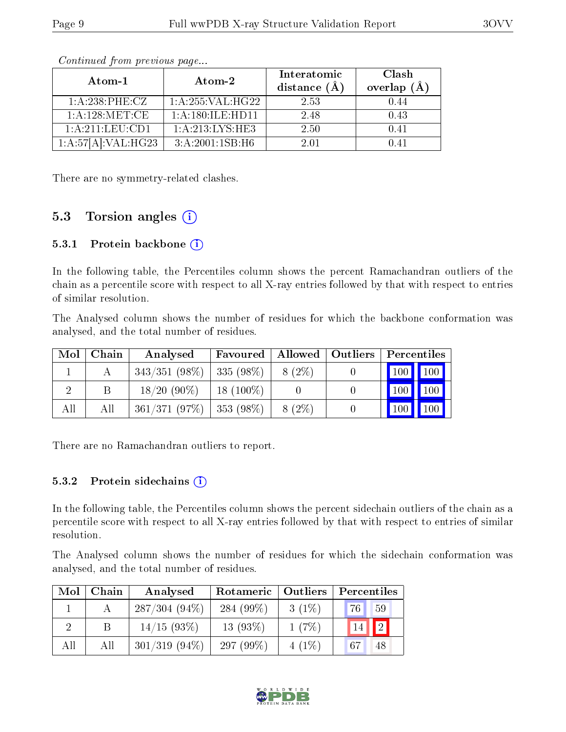| Atom-1             | Atom-2             | Interatomic<br>distance $(\AA)$ | Clash<br>overlap $(\AA)$ |  |
|--------------------|--------------------|---------------------------------|--------------------------|--|
| $1: A:238:$ PHE:CZ | 1: A:255: VAL:HG22 | 2.53                            | 0.44                     |  |
| 1: A: 128: MET:CE  | 1: A:180: ILE:HD11 | 2.48                            | 0.43                     |  |
| 1:A:211:LEU:CD1    | 1: A:213: LYS: HE3 | 2.50                            | 0.41                     |  |
| 1:A:57[A]:VAL:HG23 | 3: A:2001:1SB:HG   | 2.01                            | በ 41                     |  |

Continued from previous page...

There are no symmetry-related clashes.

### 5.3 Torsion angles (i)

#### 5.3.1 Protein backbone  $(i)$

In the following table, the Percentiles column shows the percent Ramachandran outliers of the chain as a percentile score with respect to all X-ray entries followed by that with respect to entries of similar resolution.

The Analysed column shows the number of residues for which the backbone conformation was analysed, and the total number of residues.

| Mol | Chain | Analysed        | Favoured    |          | Allowed   Outliers   Percentiles |
|-----|-------|-----------------|-------------|----------|----------------------------------|
|     |       | $343/351(98\%)$ | $335(98\%)$ | $8(2\%)$ | 100<br>100 <b>  </b>             |
|     | В     | $18/20(90\%)$   | $18(100\%)$ |          | 100<br>100                       |
| All | All   | 361/371(97%)    | 353 (98%)   | $8(2\%)$ | 100<br>100                       |

There are no Ramachandran outliers to report.

#### 5.3.2 Protein sidechains  $\left( \mathbf{i} \right)$

In the following table, the Percentiles column shows the percent sidechain outliers of the chain as a percentile score with respect to all X-ray entries followed by that with respect to entries of similar resolution.

The Analysed column shows the number of residues for which the sidechain conformation was analysed, and the total number of residues.

| Mol | Chain | Analysed        | Rotameric   Outliers |          | Percentiles       |
|-----|-------|-----------------|----------------------|----------|-------------------|
|     |       | $287/304(94\%)$ | 284 $(99\%)$         | $3(1\%)$ | 76<br>59          |
|     |       | $14/15(93\%)$   | $13(93\%)$           | $1(7\%)$ | $\boxed{2}$<br>14 |
| All | All   | $301/319(94\%)$ | 297 $(99\%)$         | $4(1\%)$ | 67<br>48          |

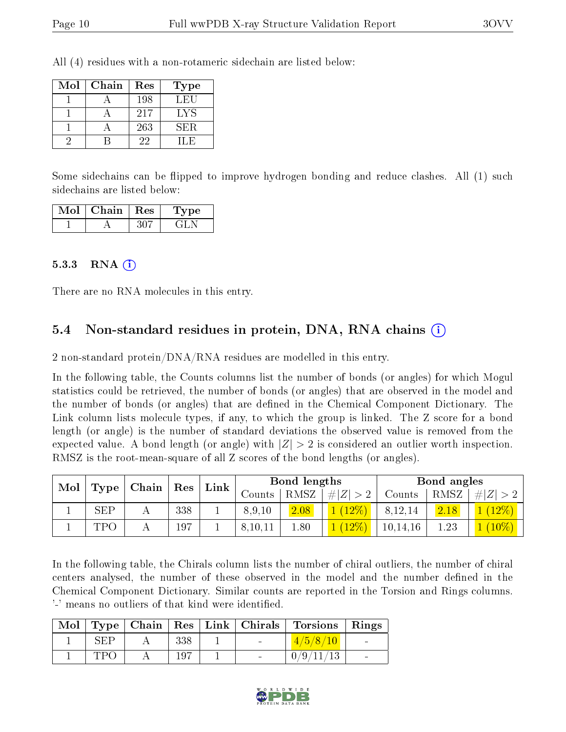All (4) residues with a non-rotameric sidechain are listed below:

| Mol | Chain | Res | Type |
|-----|-------|-----|------|
|     |       | 198 | LEU  |
|     |       | 217 | LYS  |
|     |       | 263 | SER. |
|     |       | 22  | H.F  |

Some sidechains can be flipped to improve hydrogen bonding and reduce clashes. All (1) such sidechains are listed below:

| Mol | Chain | $\pm$ Res $^+$ | Type |
|-----|-------|----------------|------|
|     |       |                |      |

#### 5.3.3 RNA [O](https://www.wwpdb.org/validation/2017/XrayValidationReportHelp#rna)i

There are no RNA molecules in this entry.

### 5.4 Non-standard residues in protein, DNA, RNA chains (i)

2 non-standard protein/DNA/RNA residues are modelled in this entry.

In the following table, the Counts columns list the number of bonds (or angles) for which Mogul statistics could be retrieved, the number of bonds (or angles) that are observed in the model and the number of bonds (or angles) that are dened in the Chemical Component Dictionary. The Link column lists molecule types, if any, to which the group is linked. The Z score for a bond length (or angle) is the number of standard deviations the observed value is removed from the expected value. A bond length (or angle) with  $|Z| > 2$  is considered an outlier worth inspection. RMSZ is the root-mean-square of all Z scores of the bond lengths (or angles).

| Mol |            | $\mid$ Chain $\mid$ Res $\mid$ |     |  |         |      |             | $Link \mid$ |      | Bond lengths      |  |  | Bond angles |  |
|-----|------------|--------------------------------|-----|--|---------|------|-------------|-------------|------|-------------------|--|--|-------------|--|
|     | Type       |                                |     |  | Counts  | RMSZ | # $ Z  > 2$ | Counts      | RMSZ | Z                 |  |  |             |  |
|     | <b>SEP</b> |                                | 338 |  | 8,9,10  | 2.08 | $(12\%)$    | 8,12,14     | 2.18 | $\triangle(12\%)$ |  |  |             |  |
|     | TPO        |                                | 197 |  | 8,10,11 | 08.1 | $(12\%)$    | 10, 14, 16  | 1.23 | $\sim (10\%)$     |  |  |             |  |

In the following table, the Chirals column lists the number of chiral outliers, the number of chiral centers analysed, the number of these observed in the model and the number defined in the Chemical Component Dictionary. Similar counts are reported in the Torsion and Rings columns. '-' means no outliers of that kind were identified.

|     |     |  | Mol   Type   Chain   Res   Link   Chirals   Torsions   Rings |  |
|-----|-----|--|--------------------------------------------------------------|--|
| SEP | 338 |  | 4/5/8/10                                                     |  |
| TPO | 197 |  | 0/9/11/13                                                    |  |

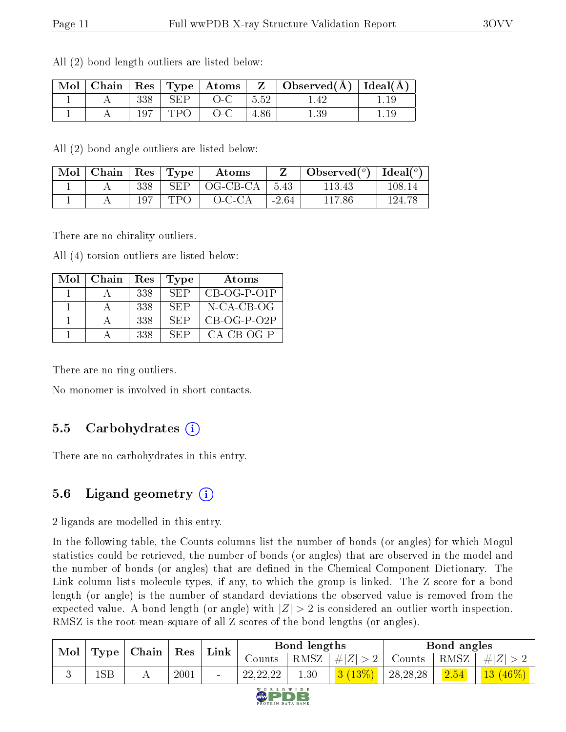| Mol |     |     | $\vert$ Chain $\vert$ Res $\vert$ Type $\vert$ Atoms $\vert$ | $\mathbf{Z}$ . | $\vert$ Observed( $\AA$ ) $\vert$ Ideal( $\AA$ ) |  |
|-----|-----|-----|--------------------------------------------------------------|----------------|--------------------------------------------------|--|
|     | 338 | SEP |                                                              | 5.52           |                                                  |  |
|     |     | ドセム |                                                              |                |                                                  |  |

All (2) bond length outliers are listed below:

All (2) bond angle outliers are listed below:

| Mol | Chain |     | Res   Type | Atoms    |         | Observed $(°)$ | . Ideal( $^o$ ) |
|-----|-------|-----|------------|----------|---------|----------------|-----------------|
|     |       | 338 | SEP        | OG-CB-CA | 5.43    | 113.43         | 108.14          |
|     |       | 197 | TPO        | $O-C-CA$ | $-2.64$ | 117.86         | 194-7           |

There are no chirality outliers.

All (4) torsion outliers are listed below:

| Mol | ∣ Chain | Res | <b>Type</b> | Atoms         |
|-----|---------|-----|-------------|---------------|
|     |         | 338 | SEP         | $CB-OG-P-O1P$ |
|     |         | 338 | SEP         | N-CA-CB-OG    |
|     |         | 338 | <b>SEP</b>  | $CB-OG-P-O2P$ |
|     |         | 338 | SEP         | CA-CB-OG-P    |

There are no ring outliers.

No monomer is involved in short contacts.

#### 5.5 Carbohydrates (i)

There are no carbohydrates in this entry.

#### 5.6 Ligand geometry  $(i)$

2 ligands are modelled in this entry.

In the following table, the Counts columns list the number of bonds (or angles) for which Mogul statistics could be retrieved, the number of bonds (or angles) that are observed in the model and the number of bonds (or angles) that are defined in the Chemical Component Dictionary. The Link column lists molecule types, if any, to which the group is linked. The Z score for a bond length (or angle) is the number of standard deviations the observed value is removed from the expected value. A bond length (or angle) with  $|Z| > 2$  is considered an outlier worth inspection. RMSZ is the root-mean-square of all Z scores of the bond lengths (or angles).

| Mol |     | $\mid$ Type $\mid$ Chain $\mid$ | $\mathbf{Res}$ | Link | Bond lengths |              |             | Bond angles |              |            |
|-----|-----|---------------------------------|----------------|------|--------------|--------------|-------------|-------------|--------------|------------|
|     |     |                                 |                |      | Counts       | RMSZ         | $\# Z  > 2$ | Counts      | $+$ RMSZ $+$ | $\# Z >$   |
|     | 1SB |                                 | 2001           |      | 22, 22, 22   | $1.30^\circ$ | 3(13%)      | 28, 28, 28  | 2.54         | $+13(46%)$ |

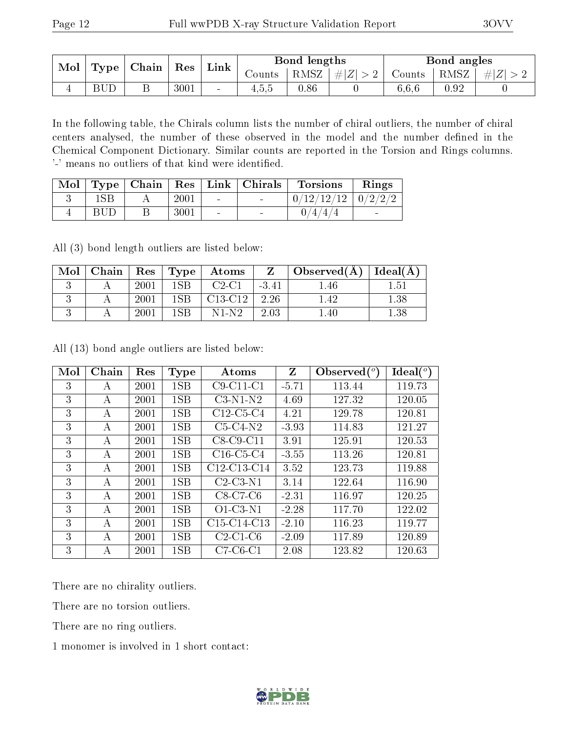| Mol<br>Type | $\mid$ Chain | Res | Link | Bond lengths |        |      | Bond angles     |        |                  |           |
|-------------|--------------|-----|------|--------------|--------|------|-----------------|--------|------------------|-----------|
|             |              |     |      |              | Counts |      | RMSZ $ #Z  > 2$ | Counts | $\pm$ RMSZ $\pm$ | $\pm  Z $ |
|             | <b>BUD</b>   |     | 3001 | $\sim$       | 4.5.5  | 0.86 |                 | 6,6,6  | $\rm 0.92$       |           |

In the following table, the Chirals column lists the number of chiral outliers, the number of chiral centers analysed, the number of these observed in the model and the number defined in the Chemical Component Dictionary. Similar counts are reported in the Torsion and Rings columns. '-' means no outliers of that kind were identified.

| Mol |     |      |        | Type   Chain   Res   Link   Chirals | <b>Torsions</b>          | Rings                    |
|-----|-----|------|--------|-------------------------------------|--------------------------|--------------------------|
|     |     | 2001 | $\sim$ | <b>Contract Contract Contract</b>   | $0/12/12/12$   $0/2/2/2$ |                          |
|     | BUD | 3001 | $\sim$ | $\overline{\phantom{0}}$            | 4/                       | $\overline{\phantom{a}}$ |

All (3) bond length outliers are listed below:

| Mol | Chain |      | $\pm$ Res $\pm$ Type $\pm$ | $\boldsymbol{\mathrm{Atoms}}$ |        | $\Box$ Observed(A) $\Box$ | Ideal $(A)$ |
|-----|-------|------|----------------------------|-------------------------------|--------|---------------------------|-------------|
|     |       | 2001 | $1\mathrm{SB}$             | $C2-C1$                       | $-341$ | 1.46                      | 1.51        |
|     |       | 2001 | 1SB.                       | $C13-C12$                     | 2.26   | 1.42                      | $1.38\,$    |
|     |       | 2001 | .SR                        | N1-N2                         | 2.03   |                           |             |

All (13) bond angle outliers are listed below:

| Mol | Chain | Res  | <b>Type</b> | Atoms                                             | Z       | Observed $\binom{o}{c}$ | Ideal $(^\circ)$ |
|-----|-------|------|-------------|---------------------------------------------------|---------|-------------------------|------------------|
| 3   | А     | 2001 | 1SB         | $C9-C11-C1$                                       | $-5.71$ | 113.44                  | 119.73           |
| 3   | А     | 2001 | 1SB         | $C3-N1-N2$                                        | 4.69    | 127.32                  | 120.05           |
| 3   | А     | 2001 | 1SB         | $C12-C5-C4$                                       | 4.21    | 129.78                  | 120.81           |
| 3   | А     | 2001 | 1SB         | $C5-C4-N2$                                        | $-3.93$ | 114.83                  | 121.27           |
| 3   | А     | 2001 | 1SB         | $C8-C9-C11$                                       | 3.91    | 125.91                  | 120.53           |
| 3   | А     | 2001 | 1SB         | $C16-C5-C4$                                       | $-3.55$ | 113.26                  | 120.81           |
| 3   | А     | 2001 | 1SB         | C12-C13-C14                                       | 3.52    | 123.73                  | 119.88           |
| 3   | А     | 2001 | 1SB         | $C2-C3-N1$                                        | 3.14    | 122.64                  | 116.90           |
| 3   | А     | 2001 | 1SB         | $C8-C7-C6$                                        | $-2.31$ | 116.97                  | 120.25           |
| 3   | A     | 2001 | 1SB         | $\overline{O}1$ -C3-N1                            | $-2.28$ | 117.70                  | 122.02           |
| 3   | А     | 2001 | 1SB         | C <sub>15</sub> -C <sub>14</sub> -C <sub>13</sub> | $-2.10$ | 116.23                  | 119.77           |
| 3   | А     | 2001 | 1SB         | $C2-C1-C6$                                        | $-2.09$ | 117.89                  | 120.89           |
| 3   | А     | 2001 | 1SB         | $C7-C6-C1$                                        | 2.08    | 123.82                  | 120.63           |

There are no chirality outliers.

There are no torsion outliers.

There are no ring outliers.

1 monomer is involved in 1 short contact:

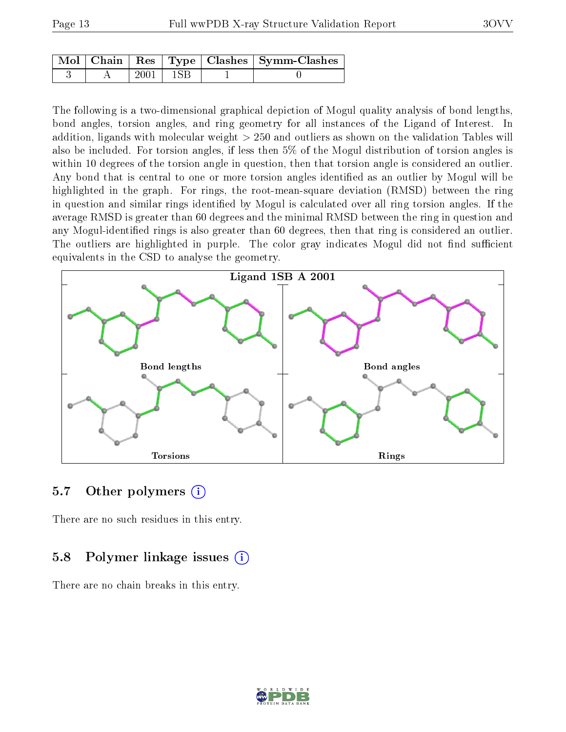|  |      |              | $\mid$ Mol $\mid$ Chain $\mid$ Res $\mid$ Type $\mid$ Clashes $\mid$ Symm-Clashes $\mid$ |
|--|------|--------------|------------------------------------------------------------------------------------------|
|  | 2001 | $\perp$ 1SB. |                                                                                          |

The following is a two-dimensional graphical depiction of Mogul quality analysis of bond lengths, bond angles, torsion angles, and ring geometry for all instances of the Ligand of Interest. In addition, ligands with molecular weight > 250 and outliers as shown on the validation Tables will also be included. For torsion angles, if less then 5% of the Mogul distribution of torsion angles is within 10 degrees of the torsion angle in question, then that torsion angle is considered an outlier. Any bond that is central to one or more torsion angles identified as an outlier by Mogul will be highlighted in the graph. For rings, the root-mean-square deviation (RMSD) between the ring in question and similar rings identified by Mogul is calculated over all ring torsion angles. If the average RMSD is greater than 60 degrees and the minimal RMSD between the ring in question and any Mogul-identified rings is also greater than 60 degrees, then that ring is considered an outlier. The outliers are highlighted in purple. The color gray indicates Mogul did not find sufficient equivalents in the CSD to analyse the geometry.



#### 5.7 [O](https://www.wwpdb.org/validation/2017/XrayValidationReportHelp#nonstandard_residues_and_ligands)ther polymers (i)

There are no such residues in this entry.

#### 5.8 Polymer linkage issues (i)

There are no chain breaks in this entry.

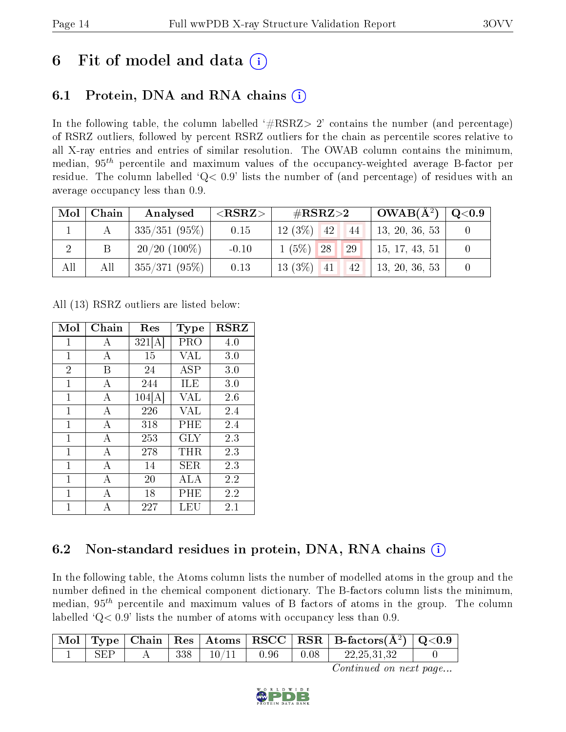## 6 Fit of model and data  $\circ$

### 6.1 Protein, DNA and RNA chains (i)

In the following table, the column labelled  $#RSRZ>2'$  contains the number (and percentage) of RSRZ outliers, followed by percent RSRZ outliers for the chain as percentile scores relative to all X-ray entries and entries of similar resolution. The OWAB column contains the minimum, median,  $95<sup>th</sup>$  percentile and maximum values of the occupancy-weighted average B-factor per residue. The column labelled  $Q< 0.9$  lists the number of (and percentage) of residues with an average occupancy less than 0.9.

| Mol | Chain | Analysed        | ${ <\hspace{-1.5pt}{\mathrm{RSRZ}} \hspace{-1.5pt}>}$ | $\rm \#RSRZ{>}2$     | $\mid$ OWAB(Å <sup>2</sup> ) $\mid$ Q<0.9 |  |
|-----|-------|-----------------|-------------------------------------------------------|----------------------|-------------------------------------------|--|
|     |       | $335/351(95\%)$ | 0.15                                                  | $12(3\%)$ 42<br>(44) | 13, 20, 36, 53                            |  |
|     |       | $20/20$ (100\%) | $-0.10$                                               | 29<br>$1(5\%)$ 28    | 15, 17, 43, 51                            |  |
| All | All   | $355/371(95\%)$ | 0.13                                                  | $13(3\%)$ $41$ $42$  | $\vert$ 13, 20, 36, 53                    |  |

All (13) RSRZ outliers are listed below:

| Mol            | Chain | Res    | Type       | <b>RSRZ</b> |
|----------------|-------|--------|------------|-------------|
| $\mathbf 1$    | A     | 321[A] | PRO        | 4.0         |
| $\mathbf{1}$   | А     | 15     | VAL        | 3.0         |
| $\overline{2}$ | B     | 24     | <b>ASP</b> | 3.0         |
| $\mathbf{1}$   | A     | 244    | ILE        | 3.0         |
| 1              | А     | 104[A] | VAL        | 2.6         |
| $\mathbf{1}$   | A     | 226    | <b>VAL</b> | 2.4         |
| 1              | A     | 318    | PHE        | 2.4         |
| 1              | А     | 253    | GLY        | 2.3         |
| $\mathbf{1}$   | А     | 278    | $\tt{THR}$ | 2.3         |
| 1              | А     | 14     | SER        | 2.3         |
| 1              | А     | 20     | ALA        | 2.2         |
| 1              | A     | 18     | PHE        | 2.2         |
| 1              | А     | 227    | LEU        | 2.1         |

### 6.2 Non-standard residues in protein, DNA, RNA chains (i)

In the following table, the Atoms column lists the number of modelled atoms in the group and the number defined in the chemical component dictionary. The B-factors column lists the minimum, median,  $95<sup>th</sup>$  percentile and maximum values of B factors of atoms in the group. The column labelled  $Q< 0.9$ ' lists the number of atoms with occupancy less than 0.9.

|     |  |       |      |      | $\perp$ Mol $\mid$ Type $\mid$ Chain $\mid$ Res $\mid$ Atoms $\mid$ RSCC $\mid$ RSR $\mid$ B-factors(Å <sup>2</sup> ) $\mid$ Q<0.9 |  |
|-----|--|-------|------|------|------------------------------------------------------------------------------------------------------------------------------------|--|
| SFP |  | 10/11 | 0.96 | 0.08 | 22, 25, 31, 32                                                                                                                     |  |

Continued on next page...

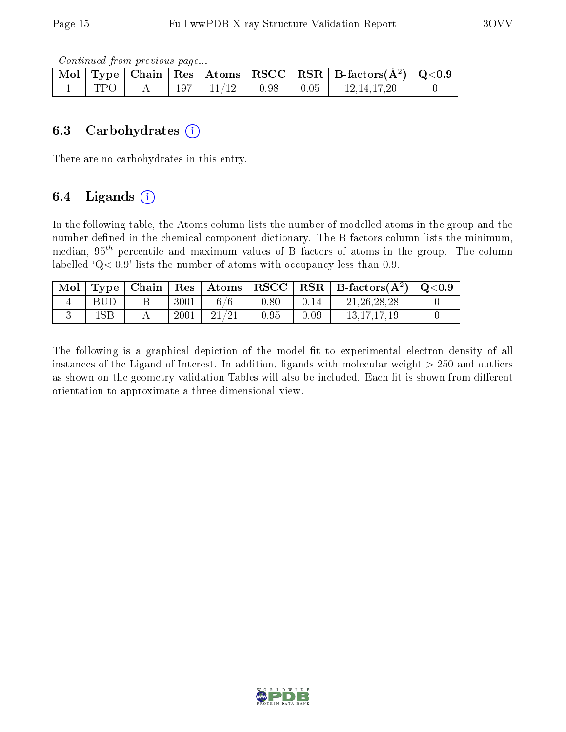Continued from previous page...

|     |  |                 |                                                                      | Mol   Type   Chain   Res   Atoms   RSCC   RSR   B-factors $(A^2)$   Q<0.9 |  |
|-----|--|-----------------|----------------------------------------------------------------------|---------------------------------------------------------------------------|--|
| TPO |  | $197$   $11/12$ | $\begin{array}{ c c c c c } \hline 0.98 & 0.05 \ \hline \end{array}$ | 12,14,17,20                                                               |  |

#### 6.3 Carbohydrates (i)

There are no carbohydrates in this entry.

### 6.4 Ligands  $(i)$

In the following table, the Atoms column lists the number of modelled atoms in the group and the number defined in the chemical component dictionary. The B-factors column lists the minimum, median,  $95<sup>th</sup>$  percentile and maximum values of B factors of atoms in the group. The column labelled  $Q< 0.9$ ' lists the number of atoms with occupancy less than 0.9.

| $\vert$ Mol $\vert$ Type $\vert$ |      |       |      |      | Chain   Res   Atoms   RSCC   RSR   B-factors $(A^2)$   Q<0.9 |  |
|----------------------------------|------|-------|------|------|--------------------------------------------------------------|--|
| BUD                              | 3001 | 6/6   | 0.80 | 0.14 | 21, 26, 28, 28                                               |  |
| 1SB                              | 2001 | 21/21 | 0.95 | 0.09 | 13.17.17.19                                                  |  |

The following is a graphical depiction of the model fit to experimental electron density of all instances of the Ligand of Interest. In addition, ligands with molecular weight  $> 250$  and outliers as shown on the geometry validation Tables will also be included. Each fit is shown from different orientation to approximate a three-dimensional view.